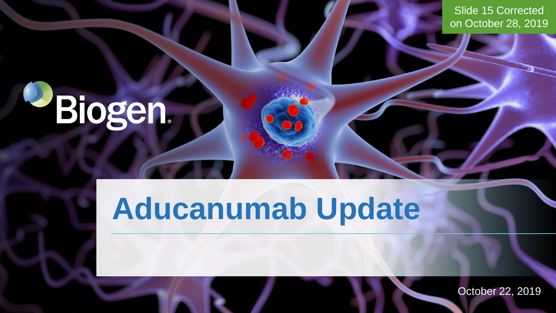Slide 15 Corrected on October 28, 2019

# Biogen.

# **Aducanumab Update**

October 22, 2019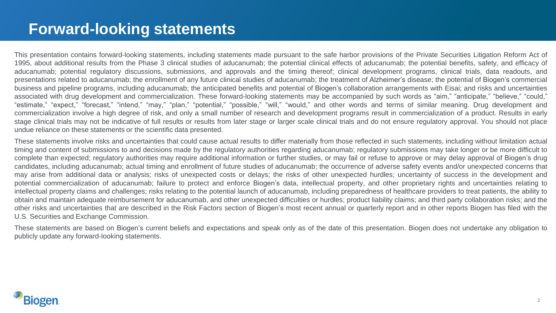### **Forward-looking statements**

This presentation contains forward-looking statements, including statements made pursuant to the safe harbor provisions of the Private Securities Litigation Reform Act of 1995, about additional results from the Phase 3 clinical studies of aducanumab; the potential clinical effects of aducanumab; the potential benefits, safety, and efficacy of aducanumab; potential regulatory discussions, submissions, and approvals and the timing thereof; clinical development programs, clinical trials, data readouts, and presentations related to aducanumab; the enrollment of any future clinical studies of aducanumab; the treatment of Alzheimer's disease; the potential of Biogen's commercial business and pipeline programs, including aducanumab; the anticipated benefits and potential of Biogen's collaboration arrangements with Eisai; and risks and uncertainties associated with drug development and commercialization. These forward-looking statements may be accompanied by such words as "aim," "anticipate," "believe," "could," "estimate," "expect," "forecast," "intend," "may," "plan," "potential," "possible," "will," "would," and other words and terms of similar meaning. Drug development and commercialization involve a high degree of risk, and only a small number of research and development programs result in commercialization of a product. Results in early stage clinical trials may not be indicative of full results or results from later stage or larger scale clinical trials and do not ensure regulatory approval. You should not place undue reliance on these statements or the scientific data presented.

These statements involve risks and uncertainties that could cause actual results to differ materially from those reflected in such statements, including without limitation actual timing and content of submissions to and decisions made by the regulatory authorities regarding aducanumab; regulatory submissions may take longer or be more difficult to complete than expected; regulatory authorities may require additional information or further studies, or may fail or refuse to approve or may delay approval of Biogen's drug candidates, including aducanumab; actual timing and enrollment of future studies of aducanumab; the occurrence of adverse safety events and/or unexpected concerns that may arise from additional data or analysis; risks of unexpected costs or delays; the risks of other unexpected hurdles; uncertainty of success in the development and potential commercialization of aducanumab; failure to protect and enforce Biogen's data, intellectual property, and other proprietary rights and uncertainties relating to intellectual property claims and challenges; risks relating to the potential launch of aducanumab, including preparedness of healthcare providers to treat patients, the ability to obtain and maintain adequate reimbursement for aducanumab, and other unexpected difficulties or hurdles; product liability claims; and third party collaboration risks; and the other risks and uncertainties that are described in the Risk Factors section of Biogen's most recent annual or quarterly report and in other reports Biogen has filed with the U.S. Securities and Exchange Commission.

These statements are based on Biogen's current beliefs and expectations and speak only as of the date of this presentation. Biogen does not undertake any obligation to publicly update any forward-looking statements.

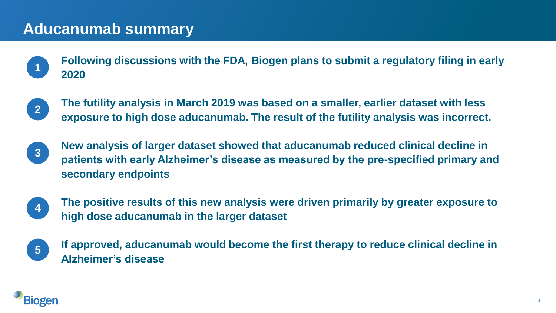



• **The futility analysis in March 2019 was based on a smaller, earlier dataset with less exposure to high dose aducanumab. The result of the futility analysis was incorrect.**



• **New analysis of larger dataset showed that aducanumab reduced clinical decline in patients with early Alzheimer's disease as measured by the pre-specified primary and secondary endpoints**



• **The positive results of this new analysis were driven primarily by greater exposure to high dose aducanumab in the larger dataset**



• **If approved, aducanumab would become the first therapy to reduce clinical decline in Alzheimer's disease** 

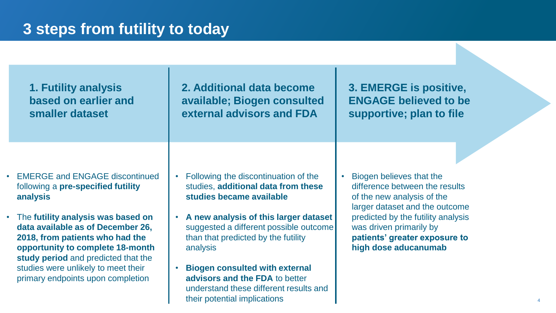|           | <b>1. Futility analysis</b><br>based on earlier and<br>smaller dataset                                                                                                                 | 2. Additional data become<br>available; Biogen consulted<br>external advisors and FDA                                                                                                                                | 3. EMERGE is positive,<br><b>ENGAGE believed to be</b><br>supportive; plan to file                                                                                                          |
|-----------|----------------------------------------------------------------------------------------------------------------------------------------------------------------------------------------|----------------------------------------------------------------------------------------------------------------------------------------------------------------------------------------------------------------------|---------------------------------------------------------------------------------------------------------------------------------------------------------------------------------------------|
| $\bullet$ | <b>EMERGE and ENGAGE discontinued</b><br>following a pre-specified futility<br>analysis<br>The futility analysis was based on<br>data available as of December 26,                     | Following the discontinuation of the<br>$\bullet$<br>studies, additional data from these<br>studies became available<br>A new analysis of this larger dataset<br>$\bullet$<br>suggested a different possible outcome | Biogen believes that the<br>difference between the results<br>of the new analysis of the<br>larger dataset and the outcome<br>predicted by the futility analysis<br>was driven primarily by |
|           | 2018, from patients who had the<br>opportunity to complete 18-month<br>study period and predicted that the<br>studies were unlikely to meet their<br>primary endpoints upon completion | than that predicted by the futility<br>analysis<br><b>Biogen consulted with external</b><br>$\bullet$<br>advisors and the FDA to better<br>understand these different results and<br>their potential implications    | patients' greater exposure to<br>high dose aducanumab                                                                                                                                       |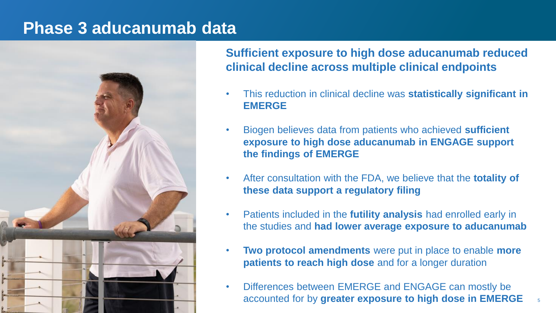# **Phase 3 aducanumab data**



**Sufficient exposure to high dose aducanumab reduced clinical decline across multiple clinical endpoints**

- This reduction in clinical decline was **statistically significant in EMERGE**
- Biogen believes data from patients who achieved **sufficient exposure to high dose aducanumab in ENGAGE support the findings of EMERGE**
- After consultation with the FDA, we believe that the **totality of these data support a regulatory filing**
- Patients included in the **futility analysis** had enrolled early in the studies and **had lower average exposure to aducanumab**
- **Two protocol amendments** were put in place to enable **more patients to reach high dose** and for a longer duration
- Differences between EMERGE and ENGAGE can mostly be accounted for by **greater exposure to high dose in EMERGE**

5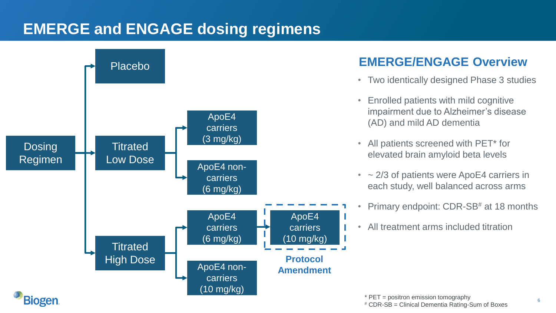## **EMERGE and ENGAGE dosing regimens**

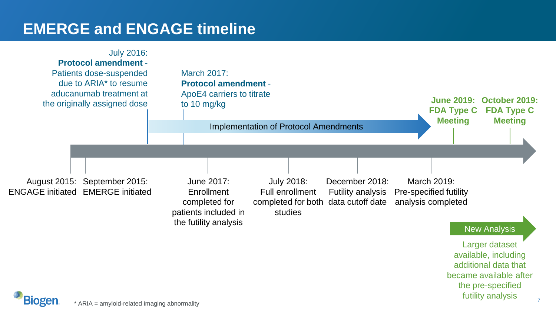#### **EMERGE and ENGAGE timeline**



\* ARIA = amyloid-related imaging abnormality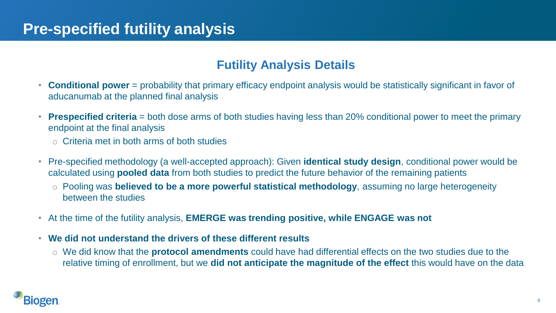#### **Futility Analysis Details**

- **Conditional power** = probability that primary efficacy endpoint analysis would be statistically significant in favor of aducanumab at the planned final analysis
- **Prespecified criteria** = both dose arms of both studies having less than 20% conditional power to meet the primary endpoint at the final analysis
	- $\circ$  Criteria met in both arms of both studies
- Pre-specified methodology (a well-accepted approach): Given **identical study design**, conditional power would be calculated using **pooled data** from both studies to predict the future behavior of the remaining patients
	- o Pooling was **believed to be a more powerful statistical methodology**, assuming no large heterogeneity between the studies
- At the time of the futility analysis, **EMERGE was trending positive, while ENGAGE was not**
- **We did not understand the drivers of these different results**
	- o We did know that the **protocol amendments** could have had differential effects on the two studies due to the relative timing of enrollment, but we **did not anticipate the magnitude of the effect** this would have on the data

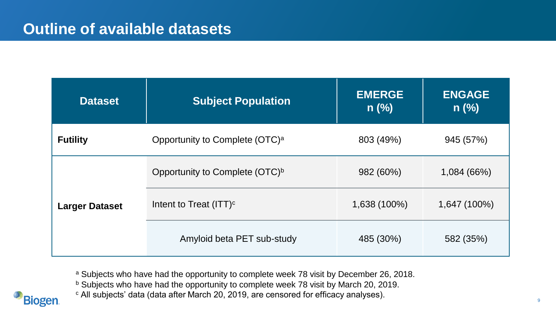| <b>Dataset</b>        | <b>Subject Population</b>                  | <b>EMERGE</b><br>$n$ (%) | <b>ENGAGE</b><br>$n$ (%) |
|-----------------------|--------------------------------------------|--------------------------|--------------------------|
| <b>Futility</b>       | Opportunity to Complete (OTC) <sup>a</sup> | 803 (49%)                | 945 (57%)                |
|                       | Opportunity to Complete (OTC) <sup>b</sup> | 982 (60%)                | 1,084 (66%)              |
| <b>Larger Dataset</b> | Intent to Treat $(ITT)^c$                  | 1,638 (100%)             | 1,647 (100%)             |
|                       | Amyloid beta PET sub-study                 | 485 (30%)                | 582 (35%)                |

a Subjects who have had the opportunity to complete week 78 visit by December 26, 2018.

b Subjects who have had the opportunity to complete week 78 visit by March 20, 2019.

<sup>c</sup> All subjects' data (data after March 20, 2019, are censored for efficacy analyses).

**Biogen**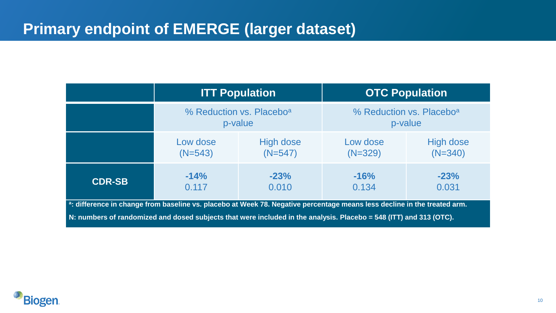# **Primary endpoint of EMERGE (larger dataset)**

|                                                                                                                                                                                                                                                | <b>ITT Population</b>                           |                        | <b>OTC Population</b>                           |                               |
|------------------------------------------------------------------------------------------------------------------------------------------------------------------------------------------------------------------------------------------------|-------------------------------------------------|------------------------|-------------------------------------------------|-------------------------------|
|                                                                                                                                                                                                                                                | % Reduction vs. Placebo <sup>a</sup><br>p-value |                        | % Reduction vs. Placebo <sup>a</sup><br>p-value |                               |
|                                                                                                                                                                                                                                                | Low dose<br>$(N=543)$                           | High dose<br>$(N=547)$ | Low dose<br>$(N=329)$                           | <b>High dose</b><br>$(N=340)$ |
| <b>CDR-SB</b>                                                                                                                                                                                                                                  | $-14%$<br>0.117                                 | $-23%$<br>0.010        | $-16%$<br>0.134                                 | $-23%$<br>0.031               |
| a: difference in change from baseline vs. placebo at Week 78. Negative percentage means less decline in the treated arm.<br>N: numbers of randomized and dosed subjects that were included in the analysis. Placebo = 548 (ITT) and 313 (OTC). |                                                 |                        |                                                 |                               |
|                                                                                                                                                                                                                                                |                                                 |                        |                                                 |                               |

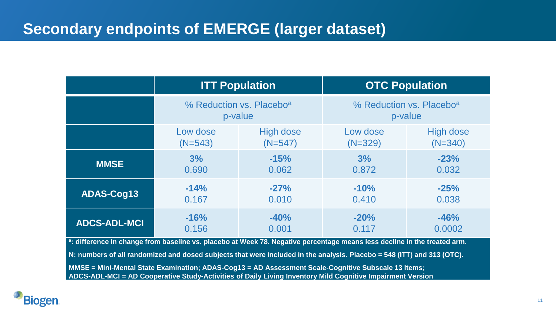|                                                                                                                          | <b>ITT Population</b>                           |           | <b>OTC Population</b>                           |                  |
|--------------------------------------------------------------------------------------------------------------------------|-------------------------------------------------|-----------|-------------------------------------------------|------------------|
|                                                                                                                          | % Reduction vs. Placebo <sup>a</sup><br>p-value |           | % Reduction vs. Placebo <sup>a</sup><br>p-value |                  |
|                                                                                                                          | Low dose                                        | High dose | Low dose                                        | <b>High dose</b> |
|                                                                                                                          | $(N=543)$                                       | $(N=547)$ | $(N=329)$                                       | $(N=340)$        |
| <b>MMSE</b>                                                                                                              | 3%                                              | $-15%$    | 3%                                              | $-23%$           |
|                                                                                                                          | 0.690                                           | 0.062     | 0.872                                           | 0.032            |
| ADAS-Cog13                                                                                                               | $-14%$                                          | $-27%$    | $-10%$                                          | $-25%$           |
|                                                                                                                          | 0.167                                           | 0.010     | 0.410                                           | 0.038            |
| <b>ADCS-ADL-MCI</b>                                                                                                      | $-16%$                                          | $-40%$    | $-20%$                                          | $-46%$           |
|                                                                                                                          | 0.156                                           | 0.001     | 0.117                                           | 0.0002           |
| a: difference in change from baseline vs. placebo at Week 78. Negative percentage means less decline in the treated arm. |                                                 |           |                                                 |                  |
| N: numbers of all randomized and dosed subjects that were included in the analysis. Placebo = 548 (ITT) and 313 (OTC).   |                                                 |           |                                                 |                  |

**MMSE = Mini-Mental State Examination; ADAS-Cog13 = AD Assessment Scale-Cognitive Subscale 13 Items; ADCS-ADL-MCI = AD Cooperative Study-Activities of Daily Living Inventory Mild Cognitive Impairment Version**

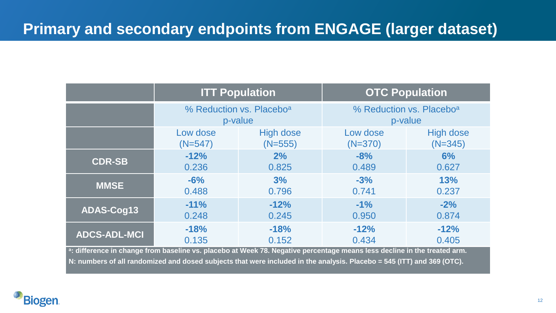# **Primary and secondary endpoints from ENGAGE (larger dataset)**

|                     | <b>ITT Population</b>                           |                  | <b>OTC Population</b>                           |                  |
|---------------------|-------------------------------------------------|------------------|-------------------------------------------------|------------------|
|                     | % Reduction vs. Placebo <sup>a</sup><br>p-value |                  | % Reduction vs. Placebo <sup>a</sup><br>p-value |                  |
|                     | Low dose                                        | <b>High dose</b> | Low dose                                        | <b>High dose</b> |
|                     | $(N=547)$                                       | $(N=555)$        | $(N=370)$                                       | $(N=345)$        |
| <b>CDR-SB</b>       | $-12%$                                          | 2%               | $-8%$                                           | 6%               |
|                     | 0.236                                           | 0.825            | 0.489                                           | 0.627            |
| <b>MMSE</b>         | $-6%$                                           | 3%               | $-3%$                                           | 13%              |
|                     | 0.488                                           | 0.796            | 0.741                                           | 0.237            |
| ADAS-Cog13          | $-11%$                                          | $-12%$           | $-1%$                                           | $-2%$            |
|                     | 0.248                                           | 0.245            | 0.950                                           | 0.874            |
| <b>ADCS-ADL-MCI</b> | $-18%$                                          | $-18%$           | $-12%$                                          | $-12%$           |
|                     | 0.135                                           | 0.152            | 0.434                                           | 0.405            |

**a : difference in change from baseline vs. placebo at Week 78. Negative percentage means less decline in the treated arm. N: numbers of all randomized and dosed subjects that were included in the analysis. Placebo = 545 (ITT) and 369 (OTC).**

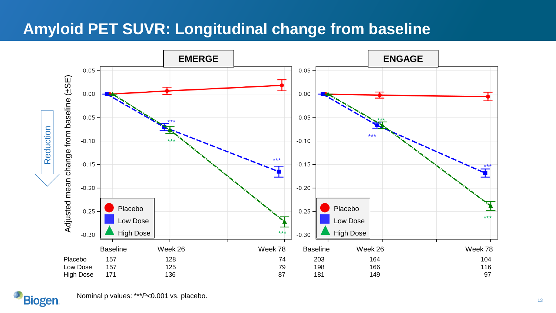### **Amyloid PET SUVR: Longitudinal change from baseline**



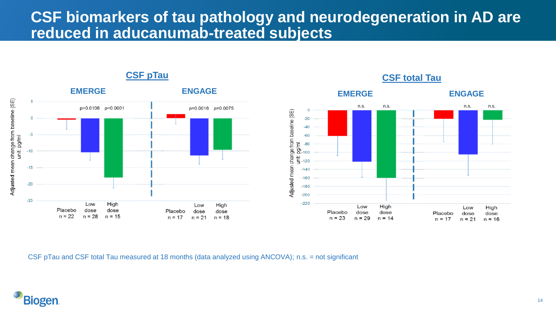#### **CSF biomarkers of tau pathology and neurodegeneration in AD are reduced in aducanumab-treated subjects**





CSF pTau and CSF total Tau measured at 18 months (data analyzed using ANCOVA); n.s. = not significant

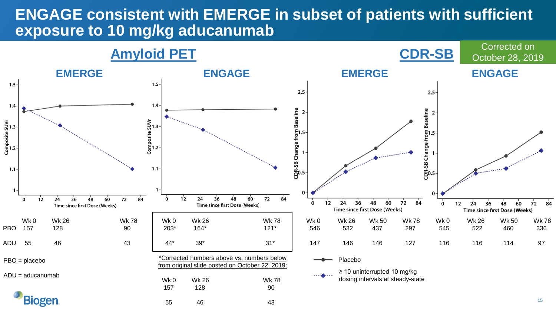### **ENGAGE consistent with EMERGE in subset of patients with sufficient exposure to 10 mg/kg aducanumab**

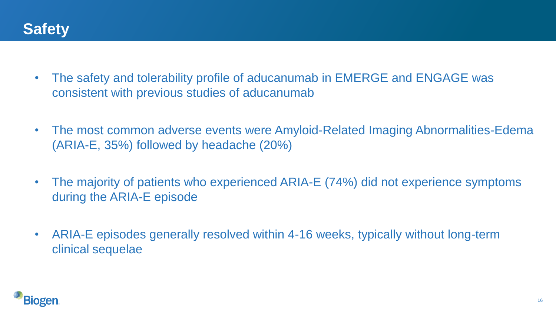- The safety and tolerability profile of aducanumab in EMERGE and ENGAGE was consistent with previous studies of aducanumab
- The most common adverse events were Amyloid-Related Imaging Abnormalities-Edema (ARIA-E, 35%) followed by headache (20%)
- The majority of patients who experienced ARIA-E (74%) did not experience symptoms during the ARIA-E episode
- ARIA-E episodes generally resolved within 4-16 weeks, typically without long-term clinical sequelae